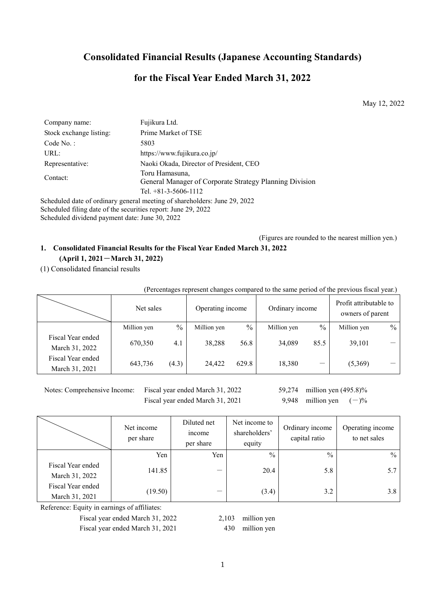# **Consolidated Financial Results (Japanese Accounting Standards)**

## **for the Fiscal Year Ended March 31, 2022**

May 12, 2022

| Company name:           | Fujikura Ltd.                                                             |
|-------------------------|---------------------------------------------------------------------------|
| Stock exchange listing: | Prime Market of TSE                                                       |
| $Code No.$ :            | 5803                                                                      |
| URL:                    | https://www.fujikura.co.jp/                                               |
| Representative:         | Naoki Okada, Director of President, CEO                                   |
| Contact:                | Toru Hamasuna,                                                            |
|                         | General Manager of Corporate Strategy Planning Division                   |
|                         | Tel. $+81-3-5606-1112$                                                    |
|                         | Scheduled date of ordinary general meeting of shareholders: June 29, 2022 |

Scheduled filing date of the securities report: June 29, 2022 Scheduled dividend payment date: June 30, 2022

(Figures are rounded to the nearest million yen.)

## **1. Consolidated Financial Results for the Fiscal Year Ended March 31, 2022 (April 1, 2021**-**March 31, 2022)**

(1) Consolidated financial results

(Percentages represent changes compared to the same period of the previous fiscal year.)

|                                     | Net sales   |       | Operating income |       | Ordinary income |      | Profit attributable to<br>owners of parent |      |
|-------------------------------------|-------------|-------|------------------|-------|-----------------|------|--------------------------------------------|------|
|                                     | Million yen | $\%$  | Million yen      | $\%$  | Million yen     | $\%$ | Million yen                                | $\%$ |
| Fiscal Year ended<br>March 31, 2022 | 670,350     | 4.1   | 38,288           | 56.8  | 34,089          | 85.5 | 39,101                                     |      |
| Fiscal Year ended<br>March 31, 2021 | 643,736     | (4.3) | 24,422           | 629.8 | 18,380          |      | (5,369)                                    |      |

Notes: Comprehensive Income: Fiscal year ended March 31, 2022 59,274 million yen (495.8)%

Fiscal year ended March 31, 2021 9,948 million yen  $(-)$ %

|                                     | Net income<br>per share | Diluted net<br><i>n</i> come<br>per share | Net income to<br>shareholders'<br>equity | Ordinary income<br>capital ratio | Operating income<br>to net sales |
|-------------------------------------|-------------------------|-------------------------------------------|------------------------------------------|----------------------------------|----------------------------------|
|                                     | Yen                     | Yen                                       | $\frac{0}{0}$                            | $\frac{0}{0}$                    | $\%$                             |
| Fiscal Year ended<br>March 31, 2022 | 141.85                  |                                           | 20.4                                     | 5.8                              | 5.7                              |
| Fiscal Year ended<br>March 31, 2021 | (19.50)                 |                                           | (3.4)                                    | 3.2                              | 3.8                              |

Reference: Equity in earnings of affiliates:

Fiscal year ended March 31, 2022 2,103 million yen

Fiscal year ended March 31, 2021 430 million yen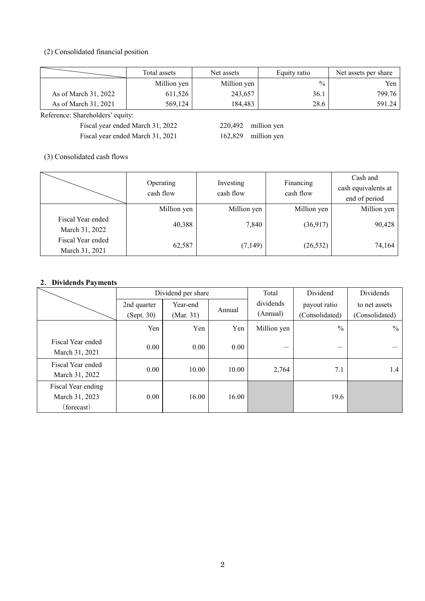## (2) Consolidated financial position

|                      | Total assets | Net assets  | Equity ratio  | Net assets per share |
|----------------------|--------------|-------------|---------------|----------------------|
|                      | Million yen  | Million yen | $\frac{0}{0}$ | Yen                  |
| As of March 31, 2022 | 611,526      | 243,657     | 36.1          | 799.76 L             |
| As of March 31, 2021 | 569,124      | 184,483     | 28.6          | 591.24               |

Reference: Shareholders' equity:

Fiscal year ended March 31, 2022 220,492 million yen Fiscal year ended March 31, 2021 162,829 million yen

(3) Consolidated cash flows

|                                     | Operating<br>cash flow | Investing<br>cash flow | Financing<br>cash flow | Cash and<br>cash equivalents at<br>end of period |
|-------------------------------------|------------------------|------------------------|------------------------|--------------------------------------------------|
|                                     | Million yen            | Million yen            | Million yen            | Million yen                                      |
| Fiscal Year ended<br>March 31, 2022 | 40,388                 | 7,840                  | (36,917)               | 90,428                                           |
| Fiscal Year ended<br>March 31, 2021 | 62,587                 | (7, 149)               | (26, 532)              | 74,164                                           |

## **2**.**Dividends Payments**

|                                                    |                           | Dividend per share    |        | Total                 | Dividend                       | Dividends                       |
|----------------------------------------------------|---------------------------|-----------------------|--------|-----------------------|--------------------------------|---------------------------------|
|                                                    | 2nd quarter<br>(Sept. 30) | Year-end<br>(Mar. 31) | Annual | dividends<br>(Annual) | payout ratio<br>(Consolidated) | to net assets<br>(Consolidated) |
|                                                    | Yen                       | Yen                   | Yen    | Million yen           | $\frac{0}{0}$                  | $\frac{0}{0}$                   |
| Fiscal Year ended<br>March 31, 2021                | 0.00                      | 0.00                  | 0.00   |                       | —                              |                                 |
| Fiscal Year ended<br>March 31, 2022                | 0.00                      | 10.00                 | 10.00  | 2,764                 | 7.1                            | 1.4                             |
| Fiscal Year ending<br>March 31, 2023<br>(forecast) | 0.00                      | 16.00                 | 16.00  |                       | 19.6                           |                                 |